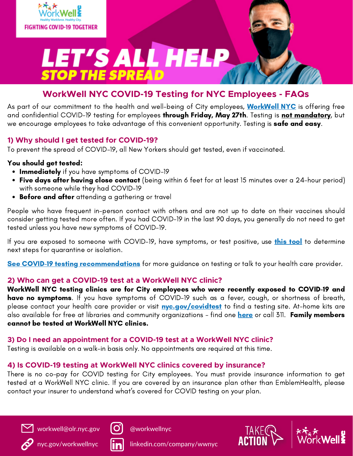

# LET'S ALL HELP **STOP THE SPREAD**

### **WorkWell NYC COVID-19 Testing for NYC Employees - FAQs**

As part of our commitment to the health and well-being of City employees, **[WorkWell](https://www1.nyc.gov/site/olr/wellness/wellnesshome.page) NYC** is offering free and confidential COVID-19 testing for employees through Friday, May 27th. Testing is not mandatory, but we encourage employees to take advantage of this convenient opportunity. Testing is **safe and easy**.

#### **1) Why should I get tested for COVID-19?**

To prevent the spread of COVID-19, all New Yorkers should get tested, even if vaccinated.

#### You should get tested:

- Immediately if you have symptoms of COVID-19
- Five days after having close contact (being within 6 feet for at least 15 minutes over a 24-hour period) with someone while they had COVID-19
- Before and after attending a gathering or travel

People who have frequent in-person contact with others and are not up to date on their vaccines should consider getting tested more often. If you had COVID-19 in the last 90 days, you generally do not need to get tested unless you have new symptoms of COVID-19.

If you are exposed to someone with COVID-19, have symptoms, or test positive, use *this [tool](https://covid19.nychealthandhospitals.org/COVID19help)* to determine next steps for quarantine or isolation.

See COVID-19 testing [recommendations](https://www1.nyc.gov/site/doh/covid/covid-19-testing.page) for more guidance on testing or talk to your health care provider.

#### **2) Who can get a COVID-19 test at a WorkWell NYC clinic?**

WorkWell NYC testing clinics are for City employees who were recently exposed to COVID-19 and have no symptoms. If you have symptoms of COVID-19 such as a fever, cough, or shortness of breath, please contact your health care provider or visit **[nyc.gov/covidtest](http://nyc.gov/covidtest)** to find a testing site. At-home kits are also available for free at libraries and community organizations - find one [here](https://www1.nyc.gov/site/coronavirus/get-tested/covid-19-testing.page) or call 311. Family members cannot be tested at WorkWell NYC clinics.

#### **3) Do I need an appointment for a COVID-19 test at a WorkWell NYC clinic?**

Testing is available on a walk-in basis only. No appointments are required at this time.

#### **4) Is COVID-19 testing at WorkWell NYC clinics covered by insurance?**

There is no co-pay for COVID testing for City employees. You must provide insurance information to get tested at a WorkWell NYC clinic. If you are covered by an insurance plan other than EmblemHealth, please contact your insurer to understand what's covered for COVID testing on your plan.



[workwell@olr.nyc.gov](http://olr.nyc.gov/)



[@workwellnyc](https://www.instagram.com/workwellnyc/)



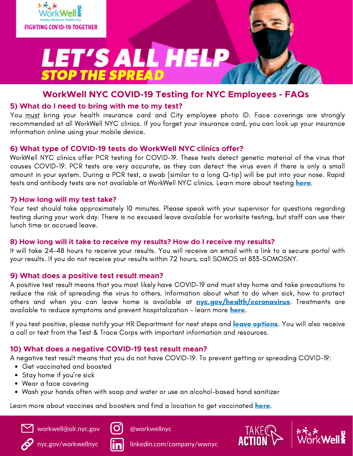

# **LET'S ALL HELP**<br>STOP THE SPREAD

#### **WorkWell NYC COVID-19 Testing for NYC Employees - FAQs**

#### **5) What do I need to bring with me to my test?**

You must bring your health insurance card and City employee photo ID. Face coverings are strongly recommended at all WorkWell NYC clinics. If you forget your insurance card, you can look up your insurance information online using your mobile device.

#### **6) What type of COVID-19 tests do WorkWell NYC clinics offer?**

WorkWell NYC clinics offer PCR testing for COVID-19. These tests detect genetic material of the virus that causes COVID-19. PCR tests are very accurate, as they can detect the virus even if there is only a small amount in your system. During a PCR test, a swab (similar to a long Q-tip) will be put into your nose. Rapid tests and antibody tests are not available at WorkWell NYC clinics. Learn more about testing [here](https://www1.nyc.gov/assets/doh/downloads/pdf/imm/covid-19-testing-faq.pdf).

#### **7) How long will my test take?**

Your test should take approximately 10 minutes. Please speak with your supervisor for questions regarding testing during your work day. There is no excused leave available for worksite testing, but staff can use their lunch time or accrued leave.

#### **8) How long will it take to receive my results? How do I receive my results?**

It will take 24-48 hours to receive your results. You will receive an email with a link to a secure portal with your results. If you do not receive your results within 72 hours, call SOMOS at 833-SOMOSNY.

#### **9) What does a positive test result mean?**

A positive test result means that you most likely have COVID-19 and must stay home and take precautions to reduce the risk of spreading the virus to others. Information about what to do when sick, how to protect others and when you can leave home is available at **[nyc.gov/health/coronavirus](https://www1.nyc.gov/site/doh/covid/covid-19-main.page)**. Treatments are available to reduce symptoms and prevent hospitalization - learn more [here](https://www1.nyc.gov/assets/doh/downloads/pdf/covid/treatments-available.pdf).

If you test positive, please notify your HR Department for next steps and leave [options](https://www1.nyc.gov/assets/dcas/downloads/pdf/guidelines/leave_guidance_applicable_to_employees_during_outbreak.pdf). You will also receive a call or text from the Test & Trace Corps with important information and resources.

#### **10) What does a negative COVID-19 test result mean?**

A negative test result means that you do not have COVID-19. To prevent getting or spreading COVID-19:

- Get vaccinated and boosted
- Stay home if you're sick
- Wear a face covering
- Wash your hands often with soap and water or use an alcohol-based hand sanitizer

Learn more about vaccines and boosters and find a location to get vaccinated [here.](https://www1.nyc.gov/site/doh/covid/covid-19-vaccines.page)



[workwell@olr.nyc.gov](http://olr.nyc.gov/)







[nyc.gov/workwellnyc](https://www1.nyc.gov/site/olr/wellness/wellnesshome.page) | ind linkedin.com/company/wwnyc